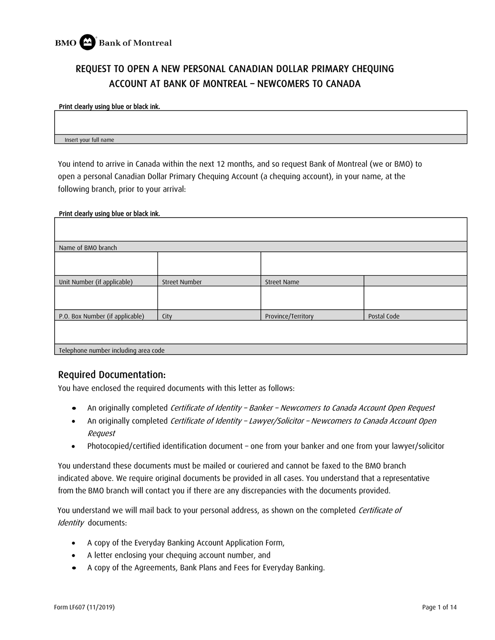

## REQUEST TO OPEN A NEW PERSONAL CANADIAN DOLLAR PRIMARY CHEQUING ACCOUNT AT BANK OF MONTREAL – NEWCOMERS TO CANADA

#### Print clearly using blue or black ink.

Insert your full name

You intend to arrive in Canada within the next 12 months, and so request Bank of Montreal (we or BMO) to open a personal Canadian Dollar Primary Chequing Account (a chequing account), in your name, at the following branch, prior to your arrival:

#### Print clearly using blue or black ink.

| Name of BMO branch                   |                      |                    |             |  |
|--------------------------------------|----------------------|--------------------|-------------|--|
|                                      |                      |                    |             |  |
|                                      |                      |                    |             |  |
| Unit Number (if applicable)          | <b>Street Number</b> | <b>Street Name</b> |             |  |
|                                      |                      |                    |             |  |
|                                      |                      |                    |             |  |
| P.O. Box Number (if applicable)      | City                 | Province/Territory | Postal Code |  |
|                                      |                      |                    |             |  |
|                                      |                      |                    |             |  |
| Telephone number including area code |                      |                    |             |  |

#### Required Documentation:

You have enclosed the required documents with this letter as follows:

- An originally completed Certificate of Identity Banker Newcomers to Canada Account Open Request
- An originally completed Certificate of Identity Lawyer/Solicitor Newcomers to Canada Account Open Request
- Photocopied/certified identification document one from your banker and one from your lawyer/solicitor

You understand these documents must be mailed or couriered and cannot be faxed to the BMO branch indicated above. We require original documents be provided in all cases. You understand that a representative from the BMO branch will contact you if there are any discrepancies with the documents provided.

You understand we will mail back to your personal address, as shown on the completed Certificate of Identity documents:

- A copy of the Everyday Banking Account Application Form,
- A letter enclosing your chequing account number, and
- A copy of the Agreements, Bank Plans and Fees for Everyday Banking.

**PRINT**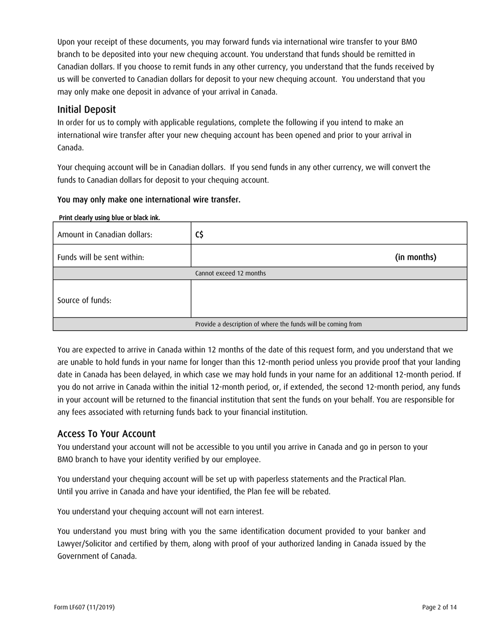Upon your receipt of these documents, you may forward funds via international wire transfer to your BMO branch to be deposited into your new chequing account. You understand that funds should be remitted in Canadian dollars. If you choose to remit funds in any other currency, you understand that the funds received by us will be converted to Canadian dollars for deposit to your new chequing account. You understand that you may only make one deposit in advance of your arrival in Canada.

### Initial Deposit

In order for us to comply with applicable regulations, complete the following if you intend to make an international wire transfer after your new chequing account has been opened and prior to your arrival in Canada.

Your chequing account will be in Canadian dollars. If you send funds in any other currency, we will convert the funds to Canadian dollars for deposit to your chequing account.

#### You may only make one international wire transfer.

#### Print clearly using blue or black ink.

| Amount in Canadian dollars: | C\$                                                          |
|-----------------------------|--------------------------------------------------------------|
| Funds will be sent within:  | (in months)                                                  |
|                             | Cannot exceed 12 months                                      |
| Source of funds:            |                                                              |
|                             | Provide a description of where the funds will be coming from |

You are expected to arrive in Canada within 12 months of the date of this request form, and you understand that we are unable to hold funds in your name for longer than this 12-month period unless you provide proof that your landing date in Canada has been delayed, in which case we may hold funds in your name for an additional 12-month period. If you do not arrive in Canada within the initial 12-month period, or, if extended, the second 12-month period, any funds in your account will be returned to the financial institution that sent the funds on your behalf. You are responsible for any fees associated with returning funds back to your financial institution.

### Access To Your Account

You understand your account will not be accessible to you until you arrive in Canada and go in person to your BMO branch to have your identity verified by our employee.

You understand your chequing account will be set up with paperless statements and the Practical Plan. Until you arrive in Canada and have your identified, the Plan fee will be rebated.

You understand your chequing account will not earn interest.

You understand you must bring with you the same identification document provided to your banker and Lawyer/Solicitor and certified by them, along with proof of your authorized landing in Canada issued by the Government of Canada.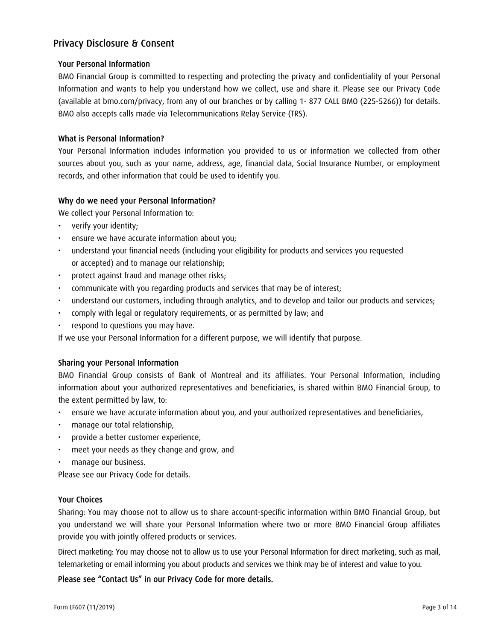## Privacy Disclosure & Consent

#### Your Personal Information

BMO Financial Group is committed to respecting and protecting the privacy and confidentiality of your Personal Information and wants to help you understand how we collect, use and share it. Please see our Privacy Code (available at bmo.com/privacy, from any of our branches or by calling 1- 877 CALL BMO (225-5266)) for details. BMO also accepts calls made via Telecommunications Relay Service (TRS).

#### What is Personal Information?

Your Personal Information includes information you provided to us or information we collected from other sources about you, such as your name, address, age, financial data, Social Insurance Number, or employment records, and other information that could be used to identify you.

#### Why do we need your Personal Information?

We collect your Personal Information to:

- verify your identity;
- ensure we have accurate information about you;
- understand your financial needs (including your eligibility for products and services you requested or accepted) and to manage our relationship;
- protect against fraud and manage other risks;
- communicate with you regarding products and services that may be of interest;
- understand our customers, including through analytics, and to develop and tailor our products and services;
- comply with legal or regulatory requirements, or as permitted by law; and
- respond to questions you may have.

If we use your Personal Information for a different purpose, we will identify that purpose.

#### Sharing your Personal Information

BMO Financial Group consists of Bank of Montreal and its affiliates. Your Personal Information, including information about your authorized representatives and beneficiaries, is shared within BMO Financial Group, to the extent permitted by law, to:

- ensure we have accurate information about you, and your authorized representatives and beneficiaries,
- manage our total relationship,
- provide a better customer experience,
- meet your needs as they change and grow, and
- manage our business.

Please see our Privacy Code for details.

#### Your Choices

Sharing: You may choose not to allow us to share account-specific information within BMO Financial Group, but you understand we will share your Personal Information where two or more BMO Financial Group affiliates provide you with jointly offered products or services.

Direct marketing: You may choose not to allow us to use your Personal Information for direct marketing, such as mail, telemarketing or email informing you about products and services we think may be of interest and value to you.

#### Please see "Contact Us" in our Privacy Code for more details.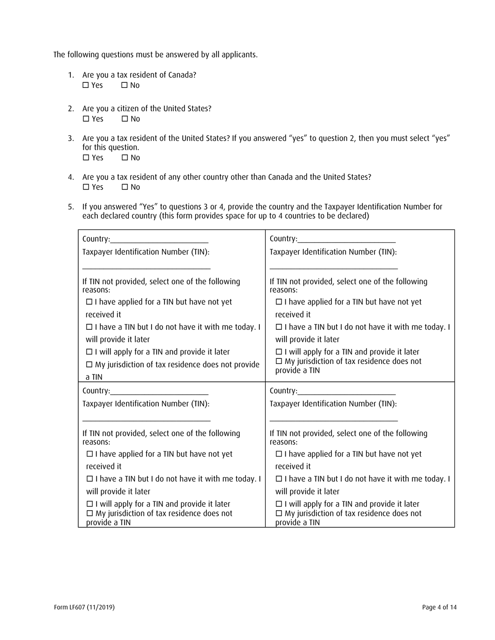The following questions must be answered by all applicants.

- 1. Are you a tax resident of Canada? □ Yes □ No
- 2. Are you a citizen of the United States?  $\Box$  Yes  $\Box$  No
- 3. Are you a tax resident of the United States? If you answered "yes" to question 2, then you must select "yes" for this question.<br> $\square$  Yes  $\square$  No  $\square$  Yes
- 4. Are you a tax resident of any other country other than Canada and the United States?  $\Box$  Yes  $\Box$  No
- 5. If you answered "Yes" to questions 3 or 4, provide the country and the Taxpayer Identification Number for each declared country (this form provides space for up to 4 countries to be declared)

| Country:<br><u> 1989 - Andrea Barbara, política establecidade de la provincia de la provincia de la provincia de la provincia</u> | Country: the country:                                                                                                   |  |  |
|-----------------------------------------------------------------------------------------------------------------------------------|-------------------------------------------------------------------------------------------------------------------------|--|--|
| Taxpayer Identification Number (TIN):                                                                                             | Taxpayer Identification Number (TIN):                                                                                   |  |  |
|                                                                                                                                   |                                                                                                                         |  |  |
| If TIN not provided, select one of the following<br>reasons:                                                                      | If TIN not provided, select one of the following<br>reasons:                                                            |  |  |
| $\Box$ I have applied for a TIN but have not yet                                                                                  | $\Box$ I have applied for a TIN but have not yet                                                                        |  |  |
| received it                                                                                                                       | received it                                                                                                             |  |  |
| $\Box$ I have a TIN but I do not have it with me today. I                                                                         | $\Box$ I have a TIN but I do not have it with me today. I                                                               |  |  |
| will provide it later                                                                                                             | will provide it later                                                                                                   |  |  |
| $\Box$ I will apply for a TIN and provide it later                                                                                | $\Box$ I will apply for a TIN and provide it later                                                                      |  |  |
| $\Box$ My jurisdiction of tax residence does not provide                                                                          | $\Box$ My jurisdiction of tax residence does not<br>provide a TIN                                                       |  |  |
| a TIN                                                                                                                             |                                                                                                                         |  |  |
| Country: <b>Country: Country: Country: Country: Country: Country: Country: </b>                                                   |                                                                                                                         |  |  |
| Taxpayer Identification Number (TIN):                                                                                             | Taxpayer Identification Number (TIN):                                                                                   |  |  |
|                                                                                                                                   |                                                                                                                         |  |  |
| If TIN not provided, select one of the following<br>reasons:                                                                      | If TIN not provided, select one of the following<br>reasons:                                                            |  |  |
| $\Box$ I have applied for a TIN but have not yet                                                                                  | $\Box$ I have applied for a TIN but have not yet                                                                        |  |  |
| received it                                                                                                                       | received it                                                                                                             |  |  |
| $\Box$ I have a TIN but I do not have it with me today. I                                                                         | $\Box$ I have a TIN but I do not have it with me today. I                                                               |  |  |
| will provide it later                                                                                                             | will provide it later                                                                                                   |  |  |
| $\Box$ I will apply for a TIN and provide it later<br>$\Box$ My jurisdiction of tax residence does not<br>provide a TIN           | $\Box$ I will apply for a TIN and provide it later<br>$\Box$ My jurisdiction of tax residence does not<br>provide a TIN |  |  |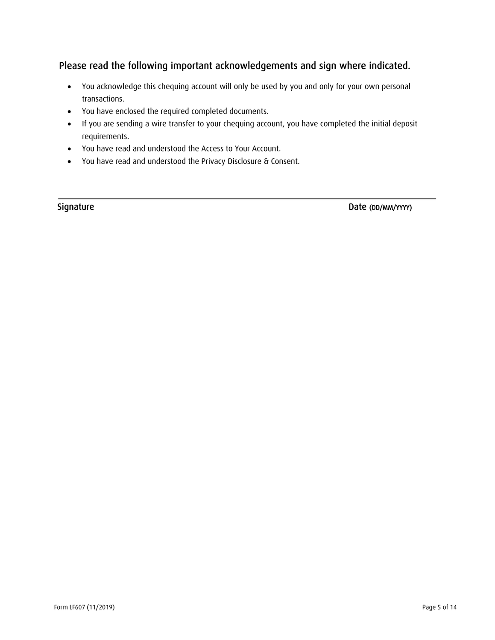## Please read the following important acknowledgements and sign where indicated.

- You acknowledge this chequing account will only be used by you and only for your own personal transactions.
- You have enclosed the required completed documents.
- If you are sending a wire transfer to your chequing account, you have completed the initial deposit requirements.
- You have read and understood the Access to Your Account.
- You have read and understood the Privacy Disclosure & Consent.

Signature Date (DD/MM/YYYY)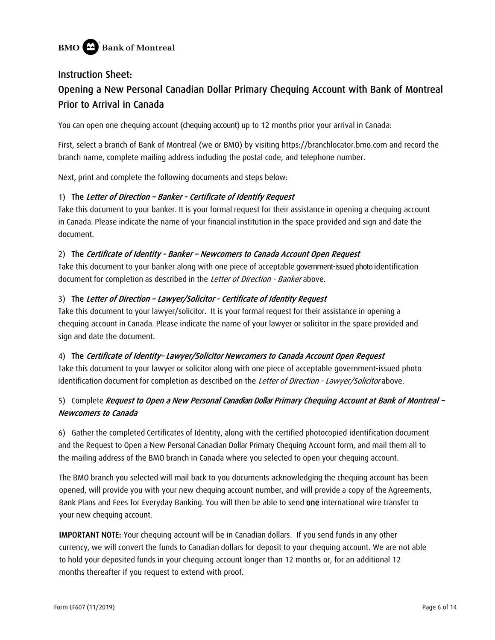

## Instruction Sheet: Opening a New Personal Canadian Dollar Primary Chequing Account with Bank of Montreal Prior to Arrival in Canada

You can open one chequing account (chequing account) up to 12 months prior your arrival in Canada:

First, select a branch of Bank of Montreal (we or BMO) by visiting https://branchlocator.bmo.com and record the branch name, complete mailing address including the postal code, and telephone number.

Next, print and complete the following documents and steps below:

#### 1) The Letter of Direction - Banker - Certificate of Identify Request

Take this document to your banker. It is your formal request for their assistance in opening a chequing account in Canada. Please indicate the name of your financial institution in the space provided and sign and date the document.

#### 2) The Certificate of Identity - Banker – Newcomers to Canada Account Open Request

Take this document to your banker along with one piece of acceptable government-issued photo identification document for completion as described in the Letter of Direction - Banker above.

#### 3) The Letter of Direction – Lawyer/Solicitor - Certificate of Identity Request

Take this document to your lawyer/solicitor. It is your formal request for their assistance in opening a chequing account in Canada. Please indicate the name of your lawyer or solicitor in the space provided and sign and date the document.

#### 4) The Certificate of Identity– Lawyer/Solicitor Newcomers to Canada Account Open Request

Take this document to your lawyer or solicitor along with one piece of acceptable government-issued photo identification document for completion as described on the Letter of Direction - Lawyer/Solicitor above.

### 5) Complete Request to Open a New Personal Canadian Dollar Primary Chequing Account at Bank of Montreal -Newcomers to Canada

6) Gather the completed Certificates of Identity, along with the certified photocopied identification document and the Request to Open a New Personal Canadian Dollar Primary Chequing Account form, and mail them all to the mailing address of the BMO branch in Canada where you selected to open your chequing account.

The BMO branch you selected will mail back to you documents acknowledging the chequing account has been opened, will provide you with your new chequing account number, and will provide a copy of the Agreements, Bank Plans and Fees for Everyday Banking. You will then be able to send one international wire transfer to your new chequing account.

IMPORTANT NOTE: Your chequing account will be in Canadian dollars. If you send funds in any other currency, we will convert the funds to Canadian dollars for deposit to your chequing account. We are not able to hold your deposited funds in your chequing account longer than 12 months or, for an additional 12 months thereafter if you request to extend with proof.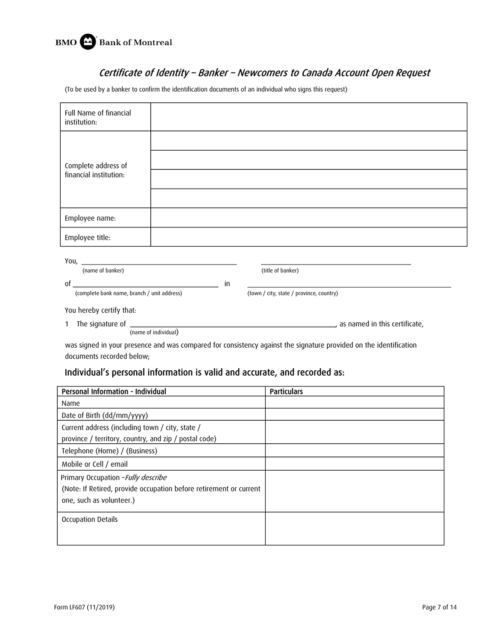

## Certificate of Identity – Banker – Newcomers to Canada Account Open Request

(To be used by a banker to confirm the identification documents of an individual who signs this request)

| Full Name of financial<br>institution:                                                                                                                                                                                         |                      |                                                                                                                   |
|--------------------------------------------------------------------------------------------------------------------------------------------------------------------------------------------------------------------------------|----------------------|-------------------------------------------------------------------------------------------------------------------|
| Complete address of<br>financial institution:                                                                                                                                                                                  |                      |                                                                                                                   |
| Employee name:                                                                                                                                                                                                                 |                      |                                                                                                                   |
| Employee title:                                                                                                                                                                                                                |                      |                                                                                                                   |
| You, the contract of the contract of the contract of the contract of the contract of the contract of the contract of the contract of the contract of the contract of the contract of the contract of the contract of the contr |                      |                                                                                                                   |
| (name of banker)                                                                                                                                                                                                               |                      | (title of banker)                                                                                                 |
| of                                                                                                                                                                                                                             | in                   |                                                                                                                   |
| (complete bank name, branch / unit address)                                                                                                                                                                                    |                      | (town / city, state / province, country)                                                                          |
| You hereby certify that:                                                                                                                                                                                                       |                      |                                                                                                                   |
| $\mathbf{1}$                                                                                                                                                                                                                   | (name of individual) |                                                                                                                   |
|                                                                                                                                                                                                                                |                      | was signed in your presence and was compared for consistency against the signature provided on the identification |

documents recorded below;

## Individual's personal information is valid and accurate, and recorded as:

| Personal Information - Individual                                  | Particulars |
|--------------------------------------------------------------------|-------------|
| Name                                                               |             |
| Date of Birth (dd/mm/yyyy)                                         |             |
| Current address (including town / city, state /                    |             |
| province / territory, country, and zip / postal code)              |             |
| Telephone (Home) / (Business)                                      |             |
| Mobile or Cell / email                                             |             |
| Primary Occupation - Fully describe                                |             |
| (Note: If Retired, provide occupation before retirement or current |             |
| one, such as volunteer.)                                           |             |
| <b>Occupation Details</b>                                          |             |
|                                                                    |             |
|                                                                    |             |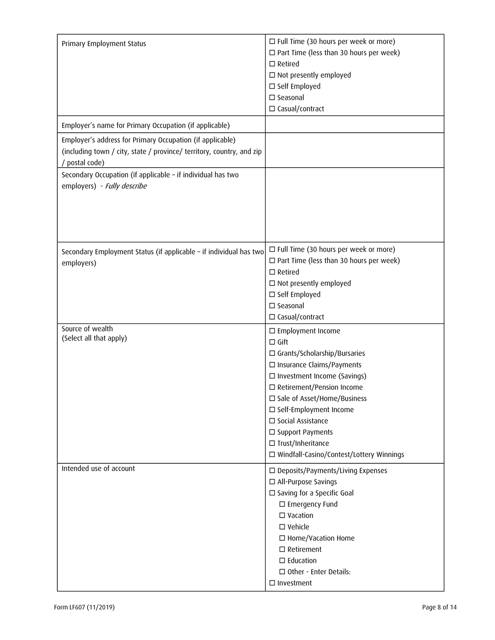| Primary Employment Status                                                                                                                                                                                         | $\Box$ Full Time (30 hours per week or more)<br>$\Box$ Part Time (less than 30 hours per week)<br>$\Box$ Retired<br>$\Box$ Not presently employed<br>□ Self Employed<br>□ Seasonal<br>□ Casual/contract                                                                                                                                            |
|-------------------------------------------------------------------------------------------------------------------------------------------------------------------------------------------------------------------|----------------------------------------------------------------------------------------------------------------------------------------------------------------------------------------------------------------------------------------------------------------------------------------------------------------------------------------------------|
| Employer's name for Primary Occupation (if applicable)                                                                                                                                                            |                                                                                                                                                                                                                                                                                                                                                    |
| Employer's address for Primary Occupation (if applicable)<br>(including town / city, state / province/ territory, country, and zip<br>postal code)<br>Secondary Occupation (if applicable - if individual has two |                                                                                                                                                                                                                                                                                                                                                    |
| employers) - Fully describe                                                                                                                                                                                       |                                                                                                                                                                                                                                                                                                                                                    |
| Secondary Employment Status (if applicable - if individual has two<br>employers)                                                                                                                                  | $\Box$ Full Time (30 hours per week or more)<br>$\Box$ Part Time (less than 30 hours per week)<br>$\square$ Retired<br>$\Box$ Not presently employed<br>□ Self Employed<br>□ Seasonal<br>□ Casual/contract                                                                                                                                         |
| Source of wealth<br>(Select all that apply)                                                                                                                                                                       | □ Employment Income<br>$\Box$ Gift<br>□ Grants/Scholarship/Bursaries<br>□ Insurance Claims/Payments<br>□ Investment Income (Savings)<br>□ Retirement/Pension Income<br>□ Sale of Asset/Home/Business<br>□ Self-Employment Income<br>□ Social Assistance<br>□ Support Payments<br>□ Trust/Inheritance<br>□ Windfall-Casino/Contest/Lottery Winnings |
| Intended use of account                                                                                                                                                                                           | □ Deposits/Payments/Living Expenses<br>□ All-Purpose Savings<br>□ Saving for a Specific Goal<br>□ Emergency Fund<br>$\square$ Vacation<br>$\square$ Vehicle<br>□ Home/Vacation Home<br>$\square$ Retirement<br>$\square$ Education<br>□ Other - Enter Details:<br>$\Box$ Investment                                                                |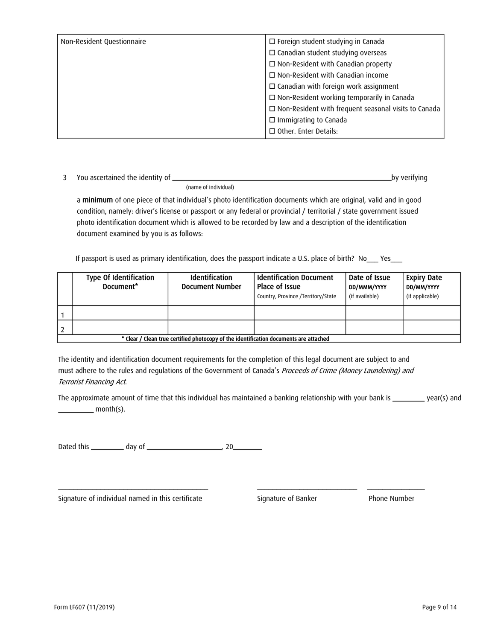| Non-Resident Questionnaire | $\Box$ Foreign student studying in Canada                   |  |
|----------------------------|-------------------------------------------------------------|--|
|                            | $\Box$ Canadian student studying overseas                   |  |
|                            | $\Box$ Non-Resident with Canadian property                  |  |
|                            | $\Box$ Non-Resident with Canadian income                    |  |
|                            | $\Box$ Canadian with foreign work assignment                |  |
|                            | $\Box$ Non-Resident working temporarily in Canada           |  |
|                            | $\Box$ Non-Resident with frequent seasonal visits to Canada |  |
|                            | $\Box$ Immigrating to Canada                                |  |
|                            | $\Box$ Other. Enter Details:                                |  |

| <u>.</u> | You ascertained the identity of |                      | by verifying |
|----------|---------------------------------|----------------------|--------------|
|          |                                 | (name of individual) |              |

a minimum of one piece of that individual's photo identification documents which are original, valid and in good condition, namely: driver's license or passport or any federal or provincial / territorial / state government issued photo identification document which is allowed to be recorded by law and a description of the identification document examined by you is as follows:

If passport is used as primary identification, does the passport indicate a U.S. place of birth? No ves

| Type Of Identification<br>Document*                                                   | Identification<br><b>Document Number</b> | <b>Identification Document</b><br>Place of Issue<br>Country, Province /Territory/State | Date of Issue<br>DD/MMM/YYYY<br>(if available) | <b>Expiry Date</b><br>DD/MM/YYYY<br>(if applicable) |  |
|---------------------------------------------------------------------------------------|------------------------------------------|----------------------------------------------------------------------------------------|------------------------------------------------|-----------------------------------------------------|--|
|                                                                                       |                                          |                                                                                        |                                                |                                                     |  |
|                                                                                       |                                          |                                                                                        |                                                |                                                     |  |
| * Clear / Clean true certified photocopy of the identification documents are attached |                                          |                                                                                        |                                                |                                                     |  |

The identity and identification document requirements for the completion of this legal document are subject to and must adhere to the rules and regulations of the Government of Canada's Proceeds of Crime (Money Laundering) and Terrorist Financing Act.

\_\_\_\_\_\_\_\_\_\_\_\_\_\_\_\_\_\_\_\_\_\_\_\_\_\_\_\_\_\_\_\_\_\_\_\_\_\_\_ \_\_\_\_\_\_\_\_\_\_\_\_\_\_\_\_\_\_\_\_\_\_\_\_\_\_ \_\_\_\_\_\_\_\_\_\_\_\_\_\_\_

The approximate amount of time that this individual has maintained a banking relationship with your bank is \_\_\_\_\_\_\_\_ year(s) and month(s).

Dated this  $\frac{1}{20}$  day of  $\frac{1}{20}$  , 20

Signature of individual named in this certificate Signature of Banker Signature of Banker Phone Number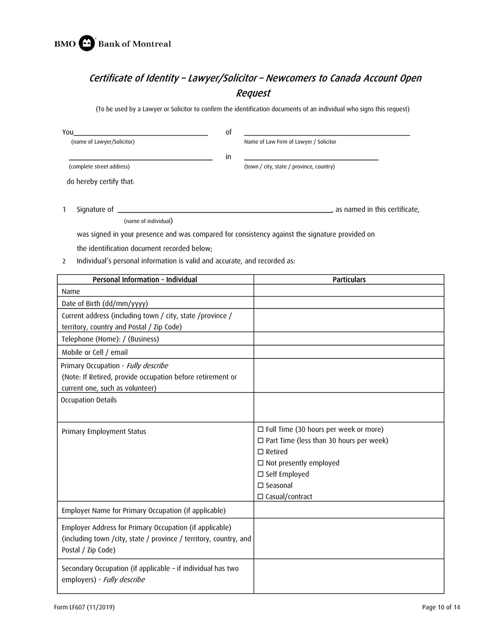

# Certificate of Identity – Lawyer/Solicitor – Newcomers to Canada Account Open Request

(To be used by a Lawyer or Solicitor to confirm the identification documents of an individual who signs this request)

| οf<br>You                                                                                      |    |                                                |  |  |
|------------------------------------------------------------------------------------------------|----|------------------------------------------------|--|--|
| (name of Lawyer/Solicitor)                                                                     |    | Name of Law Firm of Lawyer / Solicitor         |  |  |
|                                                                                                | İΠ |                                                |  |  |
| (complete street address)                                                                      |    | (town / city, state / province, country)       |  |  |
| do hereby certify that:                                                                        |    |                                                |  |  |
|                                                                                                |    |                                                |  |  |
| Signature of<br>1                                                                              |    | as named in this certificate,                  |  |  |
| (name of individual)                                                                           |    |                                                |  |  |
| was signed in your presence and was compared for consistency against the signature provided on |    |                                                |  |  |
| the identification document recorded below;                                                    |    |                                                |  |  |
| Individual's personal information is valid and accurate, and recorded as:<br>2                 |    |                                                |  |  |
|                                                                                                |    |                                                |  |  |
| Personal Information - Individual<br>Name                                                      |    | <b>Particulars</b>                             |  |  |
| Date of Birth (dd/mm/yyyy)                                                                     |    |                                                |  |  |
| Current address (including town / city, state /province /                                      |    |                                                |  |  |
| territory, country and Postal / Zip Code)                                                      |    |                                                |  |  |
| Telephone (Home): / (Business)                                                                 |    |                                                |  |  |
| Mobile or Cell / email                                                                         |    |                                                |  |  |
| Primary Occupation - Fully describe                                                            |    |                                                |  |  |
| (Note: If Retired, provide occupation before retirement or                                     |    |                                                |  |  |
| current one, such as volunteer)                                                                |    |                                                |  |  |
| <b>Occupation Details</b>                                                                      |    |                                                |  |  |
|                                                                                                |    |                                                |  |  |
| Primary Employment Status                                                                      |    | $\Box$ Full Time (30 hours per week or more)   |  |  |
|                                                                                                |    | $\Box$ Part Time (less than 30 hours per week) |  |  |
|                                                                                                |    | $\Box$ Retired                                 |  |  |
|                                                                                                |    | $\Box$ Not presently employed                  |  |  |
|                                                                                                |    | □ Self Employed                                |  |  |
|                                                                                                |    | $\square$ Seasonal<br>□ Casual/contract        |  |  |
|                                                                                                |    |                                                |  |  |
| Employer Name for Primary Occupation (if applicable)                                           |    |                                                |  |  |
| Employer Address for Primary Occupation (if applicable)                                        |    |                                                |  |  |
| (including town /city, state / province / territory, country, and                              |    |                                                |  |  |
| Postal / Zip Code)                                                                             |    |                                                |  |  |
| Secondary Occupation (if applicable - if individual has two                                    |    |                                                |  |  |
| employers) - Fully describe                                                                    |    |                                                |  |  |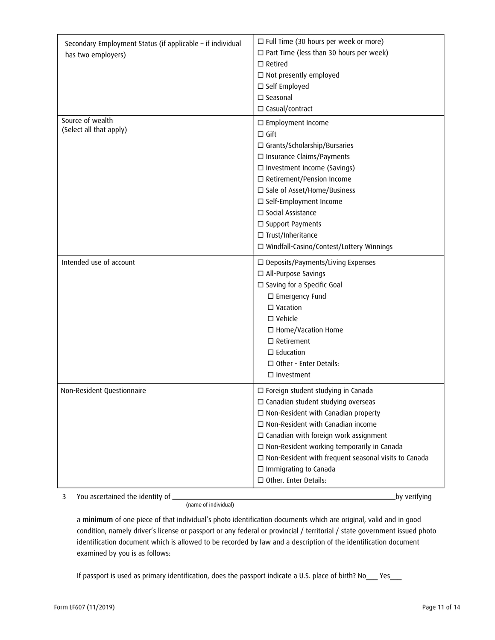| Secondary Employment Status (if applicable - if individual<br>has two employers) | $\Box$ Full Time (30 hours per week or more)<br>$\Box$ Part Time (less than 30 hours per week)<br>$\Box$ Retired<br>$\Box$ Not presently employed<br>□ Self Employed<br>□ Seasonal<br>□ Casual/contract                                                                                                                                                                                                            |
|----------------------------------------------------------------------------------|--------------------------------------------------------------------------------------------------------------------------------------------------------------------------------------------------------------------------------------------------------------------------------------------------------------------------------------------------------------------------------------------------------------------|
| Source of wealth<br>(Select all that apply)                                      | □ Employment Income<br>$\Box$ Gift<br>$\Box$ Grants/Scholarship/Bursaries<br>□ Insurance Claims/Payments<br>$\Box$ Investment Income (Savings)<br>□ Retirement/Pension Income<br>□ Sale of Asset/Home/Business<br>□ Self-Employment Income<br>□ Social Assistance<br>□ Support Payments<br>$\square$ Trust/Inheritance<br>□ Windfall-Casino/Contest/Lottery Winnings                                               |
| Intended use of account                                                          | $\square$ Deposits/Payments/Living Expenses<br>□ All-Purpose Savings<br>□ Saving for a Specific Goal<br>□ Emergency Fund<br>$\Box$ Vacation<br>$\square$ Vehicle<br>□ Home/Vacation Home<br>$\Box$ Retirement<br>$\Box$ Education<br>$\Box$ Other - Enter Details:<br>$\Box$ Investment                                                                                                                            |
| Non-Resident Questionnaire                                                       | $\Box$ Foreign student studying in Canada<br>$\Box$ Canadian student studying overseas<br>$\square$ Non-Resident with Canadian property<br>$\Box$ Non-Resident with Canadian income<br>$\Box$ Canadian with foreign work assignment<br>$\Box$ Non-Resident working temporarily in Canada<br>$\Box$ Non-Resident with frequent seasonal visits to Canada<br>$\Box$ Immigrating to Canada<br>□ Other. Enter Details: |
| You ascertained the identity of<br>3                                             | by verifying                                                                                                                                                                                                                                                                                                                                                                                                       |

(name of individual)

a minimum of one piece of that individual's photo identification documents which are original, valid and in good condition, namely driver's license or passport or any federal or provincial / territorial / state government issued photo identification document which is allowed to be recorded by law and a description of the identification document examined by you is as follows:

If passport is used as primary identification, does the passport indicate a U.S. place of birth? No\_\_\_ Yes\_\_\_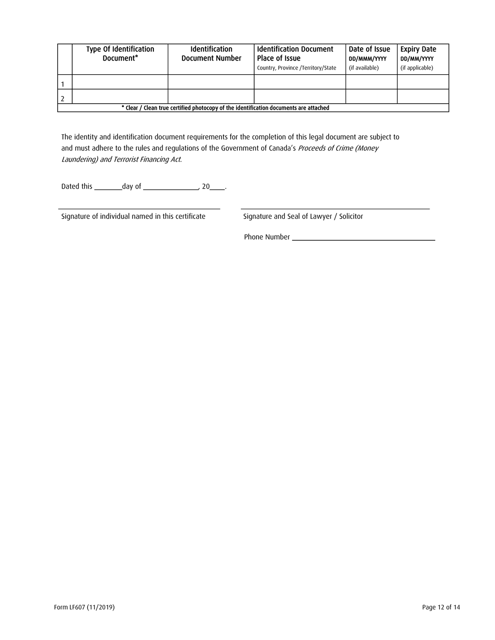| Type Of Identification<br>Document*                                                   | Identification<br>Document Number | <b>Identification Document</b><br>Place of Issue<br>Country, Province /Territory/State | Date of Issue<br>DD/MMM/YYYY<br>(if available) | <b>Expiry Date</b><br>DD/MM/YYYY<br>(if applicable) |  |
|---------------------------------------------------------------------------------------|-----------------------------------|----------------------------------------------------------------------------------------|------------------------------------------------|-----------------------------------------------------|--|
|                                                                                       |                                   |                                                                                        |                                                |                                                     |  |
|                                                                                       |                                   |                                                                                        |                                                |                                                     |  |
| * Clear / Clean true certified photocopy of the identification documents are attached |                                   |                                                                                        |                                                |                                                     |  |

The identity and identification document requirements for the completion of this legal document are subject to and must adhere to the rules and regulations of the Government of Canada's Proceeds of Crime (Money Laundering) and Terrorist Financing Act.

Dated this day of , 20 .

Signature of individual named in this certificate Signature and Seal of Lawyer / Solicitor

Phone Number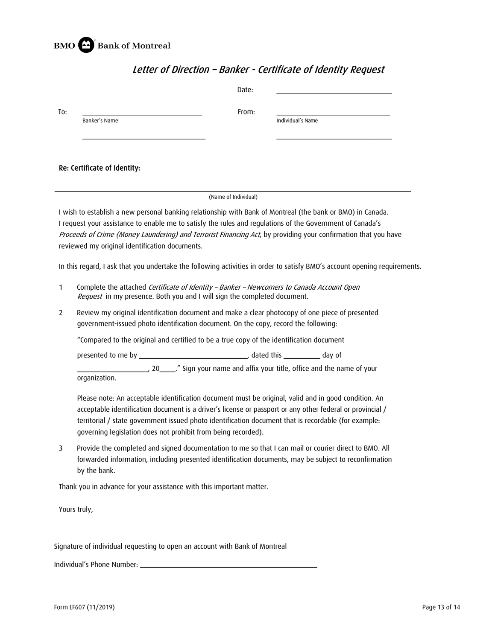

Re: Certificate of Identity:

| Letter of Direction – Banker - Certificate of Identity Request |  |  |  |  |
|----------------------------------------------------------------|--|--|--|--|
|----------------------------------------------------------------|--|--|--|--|

|     |               | Date: |                   |
|-----|---------------|-------|-------------------|
| To: | Banker's Name | From: | Individual's Name |
|     |               |       |                   |

(Name of Individual)

I wish to establish a new personal banking relationship with Bank of Montreal (the bank or BMO) in Canada. I request your assistance to enable me to satisfy the rules and regulations of the Government of Canada's Proceeds of Crime (Money Laundering) and Terrorist Financing Act, by providing your confirmation that you have reviewed my original identification documents.

In this regard, I ask that you undertake the following activities in order to satisfy BMO's account opening requirements.

- 1 Complete the attached Certificate of Identity Banker Newcomers to Canada Account Open Request in my presence. Both you and I will sign the completed document.
- 2 Review my original identification document and make a clear photocopy of one piece of presented government-issued photo identification document. On the copy, record the following:

"Compared to the original and certified to be a true copy of the identification document

presented to me by , dated this day of

\_\_\_\_, 20\_\_\_\_\_\_." Sign your name and affix your title, office and the name of your

organization.

Please note: An acceptable identification document must be original, valid and in good condition. An acceptable identification document is a driver's license or passport or any other federal or provincial / territorial / state government issued photo identification document that is recordable (for example: governing legislation does not prohibit from being recorded).

3 Provide the completed and signed documentation to me so that I can mail or courier direct to BMO. All forwarded information, including presented identification documents, may be subject to reconfirmation by the bank.

Thank you in advance for your assistance with this important matter.

Yours truly,

Signature of individual requesting to open an account with Bank of Montreal

Individual's Phone Number: